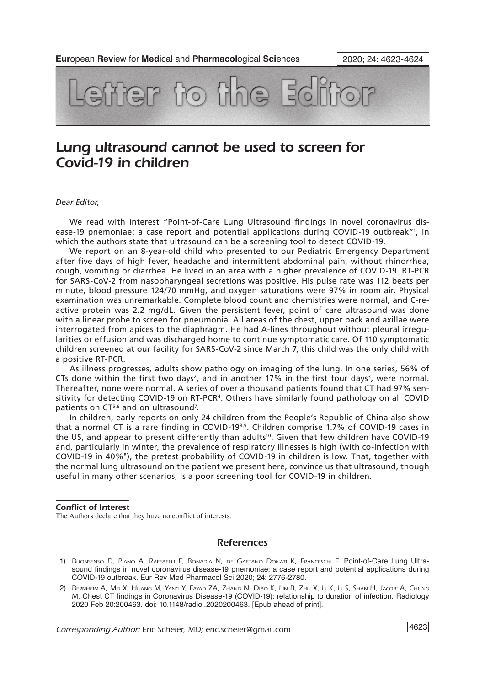

## Lung ultrasound cannot be used to screen for Covid-19 in children

## *Dear Editor,*

We read with interest "Point-of-Care Lung Ultrasound findings in novel coronavirus disease-19 pnemoniae: a case report and potential applications during COVID-19 outbreak"1 , in which the authors state that ultrasound can be a screening tool to detect COVID-19.

We report on an 8-year-old child who presented to our Pediatric Emergency Department after five days of high fever, headache and intermittent abdominal pain, without rhinorrhea, cough, vomiting or diarrhea. He lived in an area with a higher prevalence of COVID-19. RT-PCR for SARS-CoV-2 from nasopharyngeal secretions was positive. His pulse rate was 112 beats per minute, blood pressure 124/70 mmHg, and oxygen saturations were 97% in room air. Physical examination was unremarkable. Complete blood count and chemistries were normal, and C-reactive protein was 2.2 mg/dL. Given the persistent fever, point of care ultrasound was done with a linear probe to screen for pneumonia. All areas of the chest, upper back and axillae were interrogated from apices to the diaphragm. He had A-lines throughout without pleural irregularities or effusion and was discharged home to continue symptomatic care. Of 110 symptomatic children screened at our facility for SARS-CoV-2 since March 7, this child was the only child with a positive RT-PCR.

As illness progresses, adults show pathology on imaging of the lung. In one series, 56% of CTs done within the first two days<sup>2</sup>, and in another 17% in the first four days<sup>3</sup>, were normal. Thereafter, none were normal. A series of over a thousand patients found that CT had 97% sensitivity for detecting COVID-19 on RT-PCR<sup>4</sup>. Others have similarly found pathology on all COVID patients on CT<sup>5,6</sup> and on ultrasound<sup>7</sup>.

In children, early reports on only 24 children from the People's Republic of China also show that a normal CT is a rare finding in COVID-19<sup>8,9</sup>. Children comprise 1.7% of COVID-19 cases in the US, and appear to present differently than adults<sup>10</sup>. Given that few children have COVID-19 and, particularly in winter, the prevalence of respiratory illnesses is high (with co-infection with COVID-19 in 40%8), the pretest probability of COVID-19 in children is low. That, together with the normal lung ultrasound on the patient we present here, convince us that ultrasound, though useful in many other scenarios, is a poor screening tool for COVID-19 in children.

## Conflict of Interest

The Authors declare that they have no conflict of interests.

## References

- 1) Buonsenso D, Piano A, Raffaelli F, Bonadia N, de Gaetano Donati K, Franceschi F. Point-of-Care Lung Ultrasound findings in novel coronavirus disease-19 pnemoniae: a case report and potential applications during COVID-19 outbreak. Eur Rev Med Pharmacol Sci 2020; 24: 2776-2780.
- 2) Bernheim A, Mei X, Huang M, Yang Y, Fayad ZA, Zhang N, Diao K, Lin B, Zhu X, Li K, Li S, Shan H, Jacobi A, Chung M. Chest CT findings in Coronavirus Disease-19 (COVID-19): relationship to duration of infection. Radiology 2020 Feb 20:200463. doi: 10.1148/radiol.2020200463. [Epub ahead of print].

*Corresponding Author:* Eric Scheier, MD; eric.scheier@gmail.com